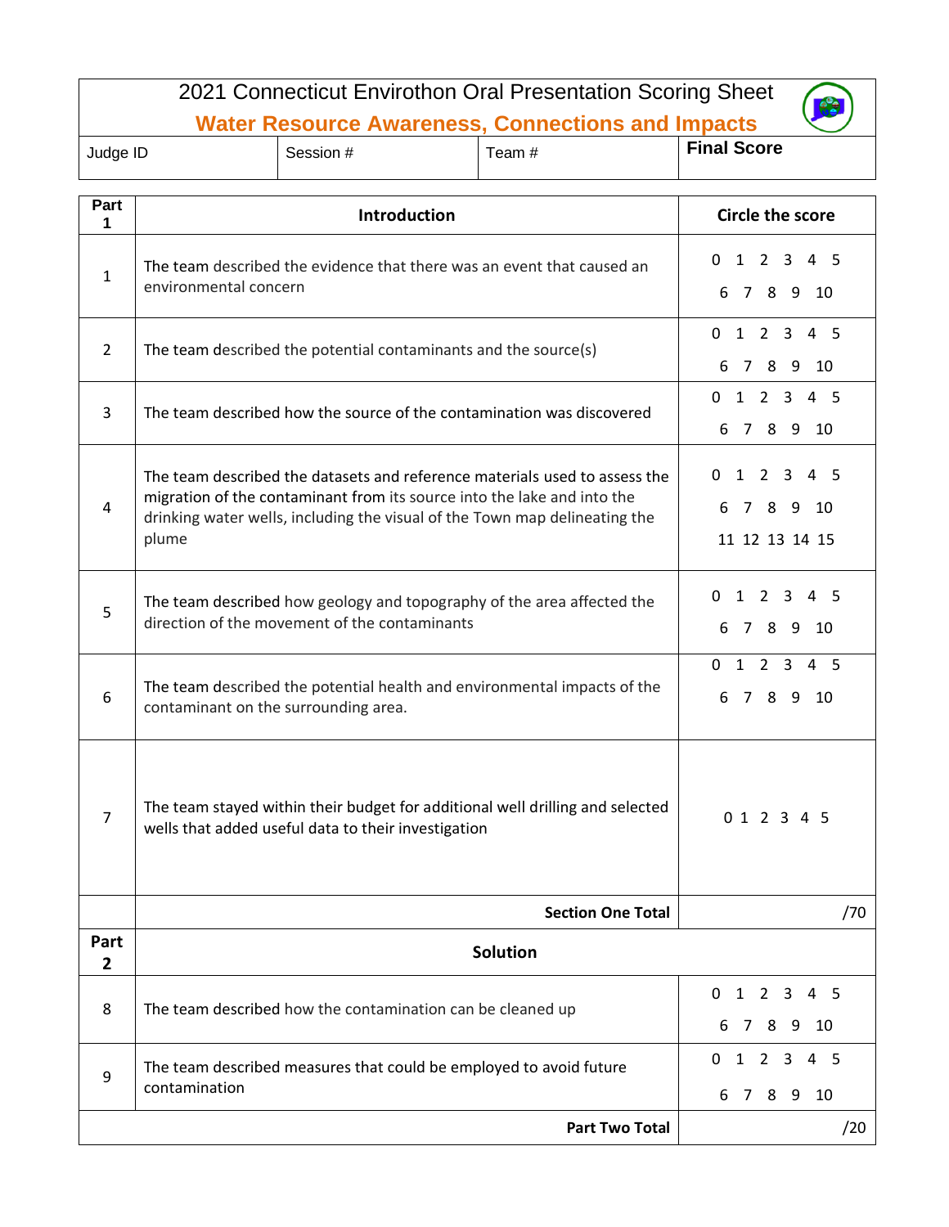| 2021 Connecticut Envirothon Oral Presentation Scoring Sheet |                                                                                                                                                                                                                                              |                                                        |        |                    |  |
|-------------------------------------------------------------|----------------------------------------------------------------------------------------------------------------------------------------------------------------------------------------------------------------------------------------------|--------------------------------------------------------|--------|--------------------|--|
| <b>Water Resource Awareness, Connections and Impacts</b>    |                                                                                                                                                                                                                                              |                                                        |        |                    |  |
| Judge ID                                                    | Session #                                                                                                                                                                                                                                    |                                                        | Team # | <b>Final Score</b> |  |
| Part                                                        |                                                                                                                                                                                                                                              |                                                        |        |                    |  |
| 1                                                           |                                                                                                                                                                                                                                              | <b>Circle the score</b>                                |        |                    |  |
| $\mathbf{1}$                                                | The team described the evidence that there was an event that caused an<br>environmental concern                                                                                                                                              | $1 \t2 \t3$<br>4 <sub>5</sub><br>0<br>6 7 8 9 10       |        |                    |  |
| $\overline{2}$                                              | The team described the potential contaminants and the source(s)                                                                                                                                                                              | $0$ 1 2 3 4 5<br>6 7 8 9 10                            |        |                    |  |
| 3                                                           | The team described how the source of the contamination was discovered                                                                                                                                                                        | $0$ 1 2 3 4 5<br>6 7 8 9 10                            |        |                    |  |
| 4                                                           | The team described the datasets and reference materials used to assess the<br>migration of the contaminant from its source into the lake and into the<br>drinking water wells, including the visual of the Town map delineating the<br>plume | 0<br>$1 \t2 \t3$<br>45<br>6 7 8 9 10<br>11 12 13 14 15 |        |                    |  |
| 5                                                           | The team described how geology and topography of the area affected the<br>direction of the movement of the contaminants                                                                                                                      | $1\quad2\quad3$<br>4 <sub>5</sub><br>0<br>6 7 8 9 10   |        |                    |  |
| 6                                                           | The team described the potential health and environmental impacts of the<br>contaminant on the surrounding area.                                                                                                                             | $0$ 1 2 3 4 5<br>6 7 8 9<br>- 10                       |        |                    |  |
| $\overline{7}$                                              | The team stayed within their budget for additional well drilling and selected<br>wells that added useful data to their investigation                                                                                                         | 0 1 2 3 4 5                                            |        |                    |  |
|                                                             | <b>Section One Total</b><br>/70                                                                                                                                                                                                              |                                                        |        |                    |  |
| Part<br>2                                                   | <b>Solution</b>                                                                                                                                                                                                                              |                                                        |        |                    |  |
| 8                                                           | The team described how the contamination can be cleaned up                                                                                                                                                                                   | 1<br>2 3<br>45<br>0<br>789<br>- 10<br>6                |        |                    |  |
| 9                                                           | The team described measures that could be employed to avoid future<br>contamination                                                                                                                                                          | 1 2 3<br>0<br>45<br>89<br>10<br>6<br>7                 |        |                    |  |
|                                                             |                                                                                                                                                                                                                                              | /20                                                    |        |                    |  |